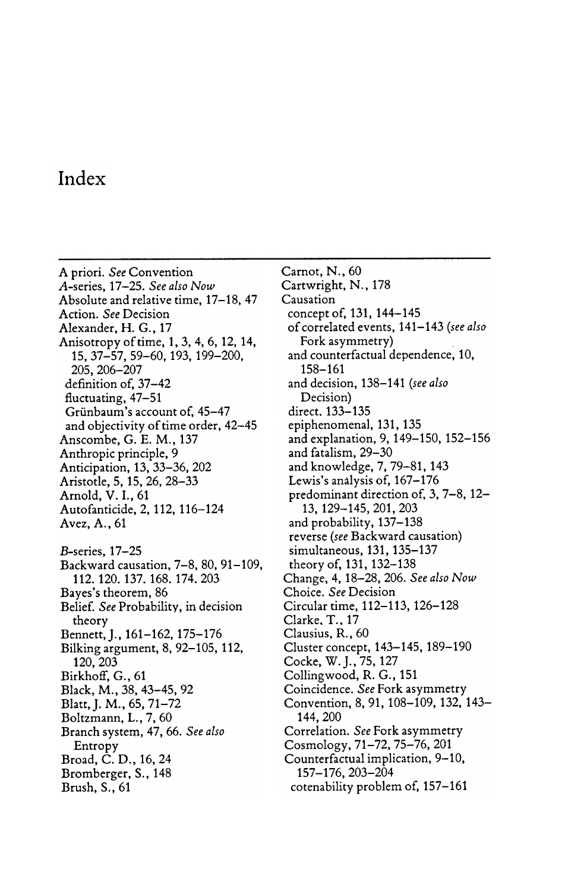## Index

A priori. See Convention A-series, 17-25. See also Now Absolute and relative time, 17-18, 47 Action. See Decision Alexander, H. G., 17 Anisotropy of time, 1, 3, 4, 6, 12, 14, 15, 37-57, 59-60, 193, 199-200, 205 , 206 - 207 definition of, 37-42 fluctuating, 47-51 Grünbaum's account of, 45-47 and objectivity of time order, 42–45 Anscombe, G. E. M., 137 Anthropic principle, 9 Anticipation, 13, 33-36, 202 Aristotle, 5, 15, 26, 28-33 Arnold, V. I., 61 Autofanticide, 2, 112, 116-124 Avez, A., 61 B-series, 17-25 Backward causation, 7-8, 80, 91-109, 112 . 120 . 137 . 168 . 174 . 203 Bayes's theorem, 86 Belief. See Probability, in decision theory Bennett, J., 161-162, 175-176 Bilking argument, 8, 92- 105, 112, 120, 203 Birkhoff, G., 61 Black, M., 38, 43–45, 92 Blatt, J. M., 65, 71-72 Boltzmann, L., 7, 60 Branch system, 47, 66. See also Entropy Broad, C. D., 16, 24 Bromberger, S., 148 Brush, S., 61

Carnot, N., 60 Cartwright, N., 178 Causation concept of, 131, 144-145 of correlated events, 141- 143 (see also Fork asymmetry) and counterfactual dependence, 10, 158 - 161 and decision, 138-141 (see also Decision) direct. 133-135 epiphenomenal, 131, 135 and explanation, 9, 149-150, 152-156 and fatalism, 29-30 and knowledge, 7, 79- 81, 143 Lewis's analysis of, 167-176 predominant direction of,  $3, 7-8, 12-$ 13, 129-145, 201, 203 and probability, 137-138 reverse (see Backward causation) simultaneous, 131, 135–137 theory of, 131, 132- 138 Change, 4, 18–28, 206. *See also Now* Choice. See Decision Circular time, 112–113, 126–128 Clarke, T., 17 Clausius, R., 60 Cluster concept, 143-145, 189-190 Cocke, W. J., 75, 127 Colling wood, R. G., 151 Coincidence . See Fork asymmetry Convention, 8, 91, 108-109, 132, 143-144 , 200 Correlation. See Fork asymmetry Cosmology, 71–72, 75–76, 201 Counterfactual implication, 9-10, 157 - 176 , 203 - 204 cotenability problem of, 157- 161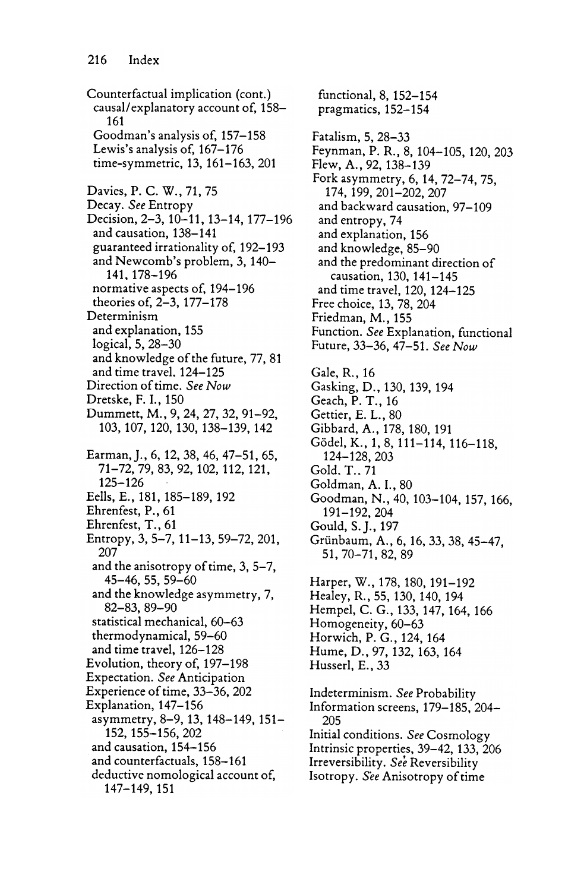Counterfactual implication (cont.) causal/ explanatory account of, 158- 161 Goodman's analysis of, 157-158 Lewis's analysis of, 167-176 time-symmetric, 13, 161-163, 201 Davies, P. C. W., 71, 75 Decay. See Entropy Decision, 2-3, 10-11, 13-14, 177-196 and causation, 138-141 guaranteed irrationality of, 192- 193 and Newcomb's problem, 3, 140-141 . 178 - 196 normative aspects of, 194-196 theories of, 2-3, 177-178 Determinism and explanation, 155 logical, 5, 28-30 and knowledge of the future, 77, 81 and time travel, 124-125 Direction of time. See Now Dretske, F. I., 150 Dummett, M., 9, 24, 27, 32, 91-92, 103, 107, 120, 130, 138–139, 142 Earman, J., 6, 12, 38, 46, 47-51, 65, 71 - 72, 79, 83, 92, 102, 112, 121, 125 - 126 Eells, E., 181, 185–189, 192 Ehrenfest, P., 61 Ehrenfest, T., 61 Entropy, 3, 5-7, 11-13, 59-72, 201, 207 and the anisotropy of time,  $3, 5-7$ , 45 - 46 , 55 , 59 - 60 and the knowledge asymmetry, 7, 82 - 83, 89 - 90 statistical mechanical, 60-63 thermodynamical, 59-60 and time travel, 126–128 Evolution, theory of, 197-198 Expectation. See Anticipation Experience of time, 33–36, 202 Explanation, 147- 156 asymmetry, 8-9, 13, 148-149, 151-152, 155 - 156, 202 and causation, 154–156 and counterfactuals, 158-161 deductive nomological account of, 147 - 149, 151

functional, 8, 152- 154 pragmatics, 152- 154 Fatalism, 5, 28-33 Feynman, P. R., 8, 104-105, 120, 203 Flew, A., 92, 138-139 Fork asymmetry, 6, 14, 72–74, 75, 174, 199, 201-202, 207 and backward causation, 97–109 and entropy, 74 and explanation, 156 and knowledge, 85-90 and the predominant direction of causation, 130, 141-145 and time travel, 120, 124–125 Free choice, 13, 78, 204 Friedman, M., 155 Function. See Explanation, functional Future, 33-36, 47-51. See Now Gale, R., 16 Gasking, D., 130, 139, 194 Geach, P. T., 16 Gettier, E. L., 80 Gibbard, A., 178, 180, 191 Gödel, K., 1, 8, 111-114, 116-118, 124 - 128 , 203 Gold, T., 71 Goldman, A. I., 80 Goodman, N., 40, 103-104, 157, 166, 191 - 192 , 204 Gould, S. J., 197 Grünbaum, A., 6, 16, 33, 38, 45-47, 51, 70–71, 82, 89 Harper, W., 178, 180, 191-192 Healey, R., 55, 130, 140, 194 Hempel, C. G., 133, 147, 164, 166 Homogeneity, 60–63 Horwich, P. G., 124, 164 Hume, D., 97, 132, 163, 164 Husserl, E., 33 Indeterminism. See Probability Information screens, 179–185, 204– 205 Initial conditions. See Cosmology Intrinsic properties, 39-42, 133, 206 Irreversibility. See Reversibility Isotropy. See Anisotropy of time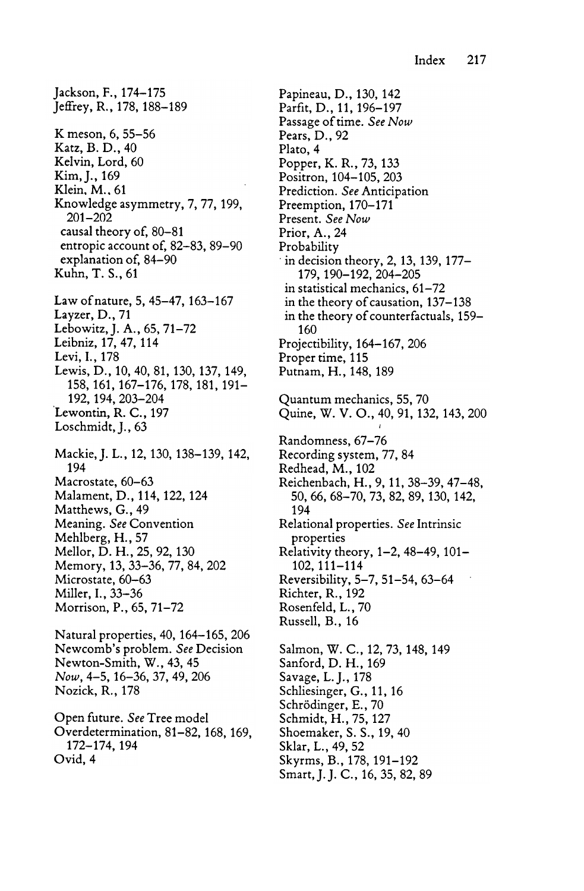jackson, F., 174- 175 Jeffrey, R., 178, 188-189 K meson, 6, 55-56 Katz, B. D., 40 Kelvin, Lord, 60 Kim, J., 169 Klein, M., 61 Knowledge asymmetry, 7, 77, 199,  $201 - 202$ causal theory of, 80-81 entropic account of, 82-83, 89-90 explanation of, 84-90 Kuhn, T. S., 61 Law of nature, 5, 45–47, 163–167 Layzer, D., 71 Lebowitz, J. A., 65, 71-72 Leibniz, 17, 47, 114 Levi, I., 178 Lewis, D., 10, 40, 81, 130, 137, 149, 158, 161, 167–176, 178, 181, 191– 192, 194, 203–204 Lewontin, R. C., 197 Loschmidt, J., 63 Mackie, J. L., 12, 130, 138-139, 142, 194 Macrostate, 60-63 Malament, D., 114, 122, 124 Matthews, G., 49 Meaning. See Convention Mehlberg, H., 57 Mellor, D. H., 25, 92, 130 Memory, 13,33-36,77,84,202 Microstate,  $60-63$ Miller, I., 33-36 Morrison, P., 65, 71–72 Natural properties, 40, 164- 165, 206 Newcomb's problem. See Decision Newton-Smith, W., 43, 45 Now, 4-5, 16-36, 37, 49, 206 Nozick, R., 178 Open future. See Tree model

172- 174, 194 Ovid, 4 Overdetermination, 81–82, 168, 169, Papineau, D., 130, 142 Parfit, D., 11, 196-197 Passage of time . See Now Pears , D . , 92 Plato, 4 Popper, K. R., 73, 133 Positron, 104-105, 203 Prediction. See Anticipation<br>Preemption, 170–171 Preemption , 170 - 171 Present. See Now Prior, A., 24 Probability in decision theory, 2, 13, 139, 177– 179, 190-192, 204-205 in statistical mechanics, 61-72 in the theory of causation, 137–138 in the theory of counterfactuals, 159– 160 Projectibility, 164–167, 206 Proper time, 115 Putnam, H., 148, 189 Quantum mechanics, 55, 70 Quine, W. V. O., 40, 91, 132, 143, 200 I Randomness, 67-76 Recording system, 77, 84 Redhead, M., 102 Reichenbach, H., 9, 11, 38-39, 47-48, 50, 66, 68–70, 73, 82, 89, 130, 142, 194 Relational properties. See Intrinsic properties Relativity theory,  $1-2$ ,  $48-49$ ,  $101-$ 102, 111–114 Reversibility, 5-7, 51-54, 63-64 Richter, R., 192 Rosenfeld, L., 70 Russell, B., 16 Salmon, W. C., 12, 73, 148, 149 Sanford, D. H., 169 Savage, L. J., 178 Schliesinger, G., 11, 16 Schrödinger, E., 70 Schmidt, H., 75, 127 Shoemaker, S. S., 19, 40

Sklar, L., 49, 52 Skyrms, B., 178, 191–192

Smart, J. J. C., 16, 35, 82, 89